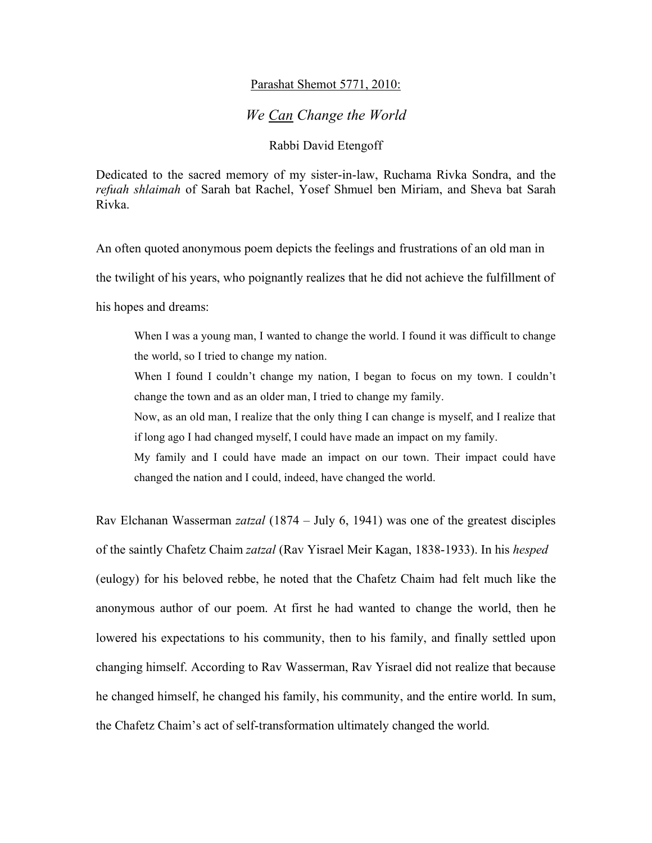## Parashat Shemot 5771, 2010:

## *We Can Change the World*

## Rabbi David Etengoff

Dedicated to the sacred memory of my sister-in-law, Ruchama Rivka Sondra, and the *refuah shlaimah* of Sarah bat Rachel, Yosef Shmuel ben Miriam, and Sheva bat Sarah Rivka.

An often quoted anonymous poem depicts the feelings and frustrations of an old man in the twilight of his years, who poignantly realizes that he did not achieve the fulfillment of his hopes and dreams:

When I was a young man, I wanted to change the world. I found it was difficult to change the world, so I tried to change my nation.

When I found I couldn't change my nation, I began to focus on my town. I couldn't change the town and as an older man, I tried to change my family.

Now, as an old man, I realize that the only thing I can change is myself, and I realize that if long ago I had changed myself, I could have made an impact on my family.

My family and I could have made an impact on our town. Their impact could have changed the nation and I could, indeed, have changed the world.

Rav Elchanan Wasserman *zatzal* (1874 – July 6, 1941) was one of the greatest disciples of the saintly Chafetz Chaim *zatzal* (Rav Yisrael Meir Kagan, 1838-1933). In his *hesped*  (eulogy) for his beloved rebbe, he noted that the Chafetz Chaim had felt much like the anonymous author of our poem. At first he had wanted to change the world, then he lowered his expectations to his community, then to his family, and finally settled upon changing himself. According to Rav Wasserman, Rav Yisrael did not realize that because he changed himself, he changed his family, his community, and the entire world. In sum, the Chafetz Chaim's act of self-transformation ultimately changed the world.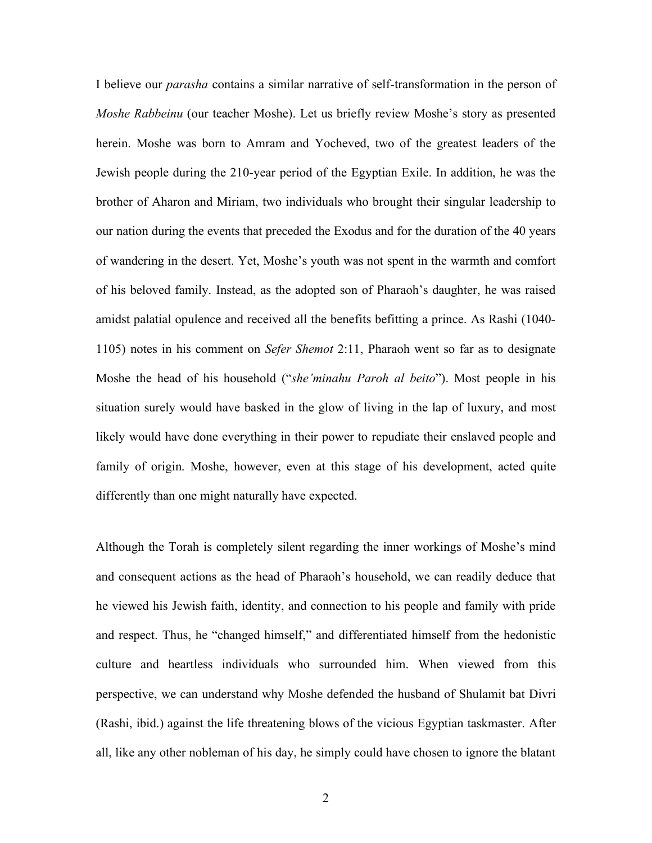I believe our *parasha* contains a similar narrative of self-transformation in the person of *Moshe Rabbeinu* (our teacher Moshe). Let us briefly review Moshe's story as presented herein. Moshe was born to Amram and Yocheved, two of the greatest leaders of the Jewish people during the 210-year period of the Egyptian Exile. In addition, he was the brother of Aharon and Miriam, two individuals who brought their singular leadership to our nation during the events that preceded the Exodus and for the duration of the 40 years of wandering in the desert. Yet, Moshe's youth was not spent in the warmth and comfort of his beloved family. Instead, as the adopted son of Pharaoh's daughter, he was raised amidst palatial opulence and received all the benefits befitting a prince. As Rashi (1040- 1105) notes in his comment on *Sefer Shemot* 2:11, Pharaoh went so far as to designate Moshe the head of his household ("*she'minahu Paroh al beito*"). Most people in his situation surely would have basked in the glow of living in the lap of luxury, and most likely would have done everything in their power to repudiate their enslaved people and family of origin. Moshe, however, even at this stage of his development, acted quite differently than one might naturally have expected.

Although the Torah is completely silent regarding the inner workings of Moshe's mind and consequent actions as the head of Pharaoh's household, we can readily deduce that he viewed his Jewish faith, identity, and connection to his people and family with pride and respect. Thus, he "changed himself," and differentiated himself from the hedonistic culture and heartless individuals who surrounded him. When viewed from this perspective, we can understand why Moshe defended the husband of Shulamit bat Divri (Rashi, ibid.) against the life threatening blows of the vicious Egyptian taskmaster. After all, like any other nobleman of his day, he simply could have chosen to ignore the blatant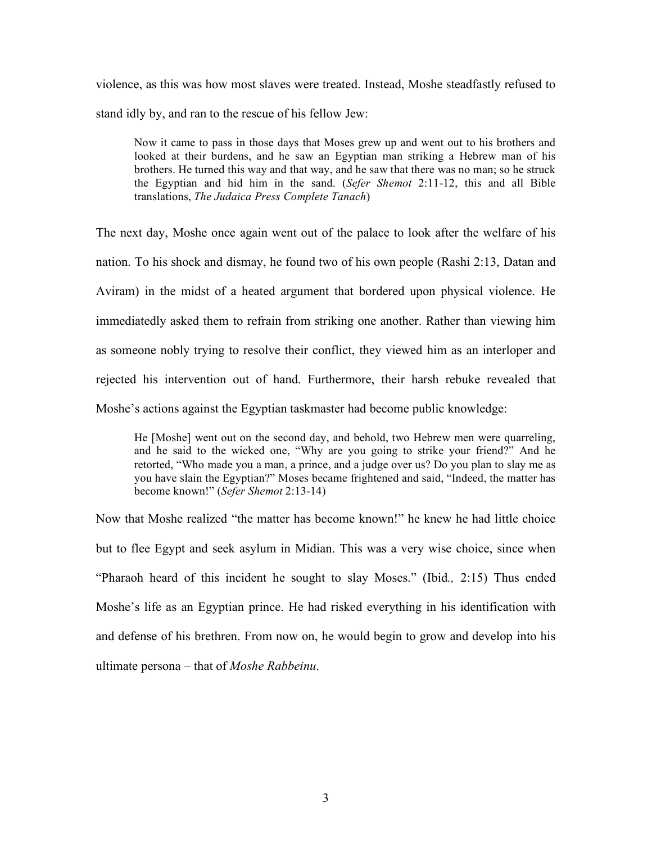violence, as this was how most slaves were treated. Instead, Moshe steadfastly refused to stand idly by, and ran to the rescue of his fellow Jew:

Now it came to pass in those days that Moses grew up and went out to his brothers and looked at their burdens, and he saw an Egyptian man striking a Hebrew man of his brothers. He turned this way and that way, and he saw that there was no man; so he struck the Egyptian and hid him in the sand. (*Sefer Shemot* 2:11-12, this and all Bible translations, *The Judaica Press Complete Tanach*)

The next day, Moshe once again went out of the palace to look after the welfare of his nation. To his shock and dismay, he found two of his own people (Rashi 2:13, Datan and Aviram) in the midst of a heated argument that bordered upon physical violence. He immediatedly asked them to refrain from striking one another. Rather than viewing him as someone nobly trying to resolve their conflict, they viewed him as an interloper and rejected his intervention out of hand. Furthermore, their harsh rebuke revealed that Moshe's actions against the Egyptian taskmaster had become public knowledge:

He [Moshe] went out on the second day, and behold, two Hebrew men were quarreling, and he said to the wicked one, "Why are you going to strike your friend?" And he retorted, "Who made you a man, a prince, and a judge over us? Do you plan to slay me as you have slain the Egyptian?" Moses became frightened and said, "Indeed, the matter has become known!" (*Sefer Shemot* 2:13-14)

Now that Moshe realized "the matter has become known!" he knew he had little choice but to flee Egypt and seek asylum in Midian. This was a very wise choice, since when "Pharaoh heard of this incident he sought to slay Moses." (Ibid*.,* 2:15) Thus ended Moshe's life as an Egyptian prince. He had risked everything in his identification with and defense of his brethren. From now on, he would begin to grow and develop into his ultimate persona – that of *Moshe Rabbeinu*.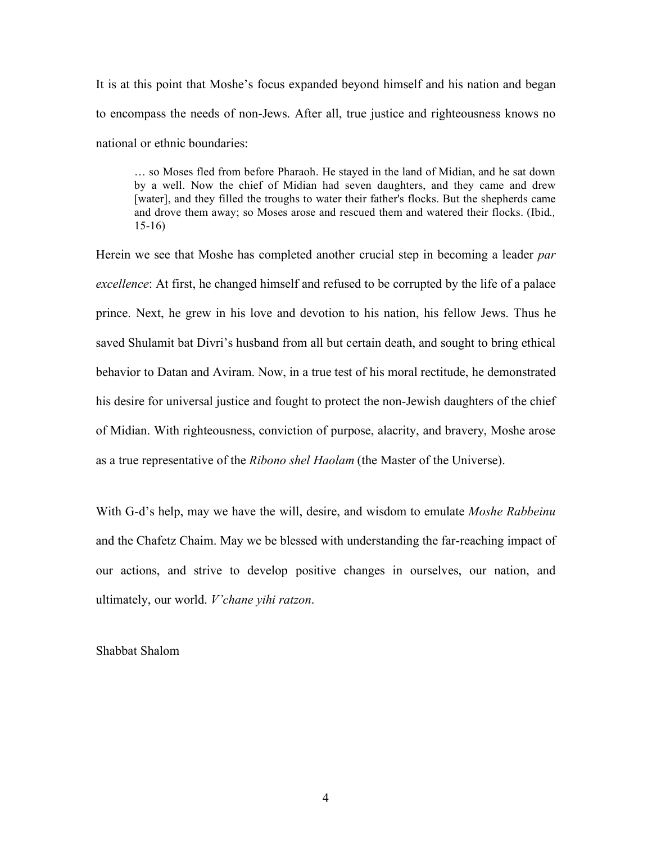It is at this point that Moshe's focus expanded beyond himself and his nation and began to encompass the needs of non-Jews. After all, true justice and righteousness knows no national or ethnic boundaries:

… so Moses fled from before Pharaoh. He stayed in the land of Midian, and he sat down by a well. Now the chief of Midian had seven daughters, and they came and drew [water], and they filled the troughs to water their father's flocks. But the shepherds came and drove them away; so Moses arose and rescued them and watered their flocks. (Ibid*.,*  15-16)

Herein we see that Moshe has completed another crucial step in becoming a leader *par excellence*: At first, he changed himself and refused to be corrupted by the life of a palace prince. Next, he grew in his love and devotion to his nation, his fellow Jews. Thus he saved Shulamit bat Divri's husband from all but certain death, and sought to bring ethical behavior to Datan and Aviram. Now, in a true test of his moral rectitude, he demonstrated his desire for universal justice and fought to protect the non-Jewish daughters of the chief of Midian. With righteousness, conviction of purpose, alacrity, and bravery, Moshe arose as a true representative of the *Ribono shel Haolam* (the Master of the Universe).

With G-d's help, may we have the will, desire, and wisdom to emulate *Moshe Rabbeinu* and the Chafetz Chaim. May we be blessed with understanding the far-reaching impact of our actions, and strive to develop positive changes in ourselves, our nation, and ultimately, our world. *V'chane yihi ratzon*.

Shabbat Shalom